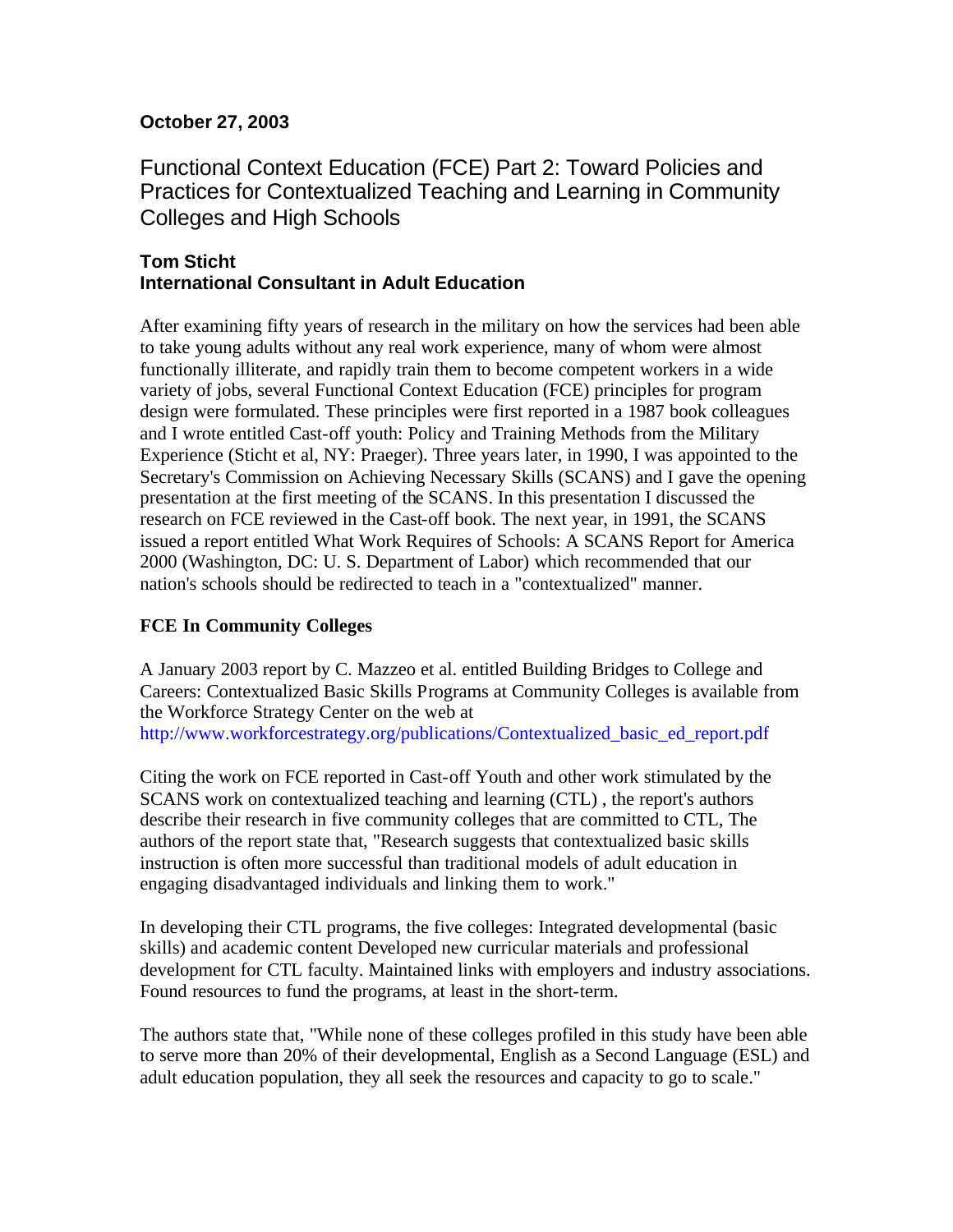## **October 27, 2003**

Functional Context Education (FCE) Part 2: Toward Policies and Practices for Contextualized Teaching and Learning in Community Colleges and High Schools

## **Tom Sticht International Consultant in Adult Education**

After examining fifty years of research in the military on how the services had been able to take young adults without any real work experience, many of whom were almost functionally illiterate, and rapidly train them to become competent workers in a wide variety of jobs, several Functional Context Education (FCE) principles for program design were formulated. These principles were first reported in a 1987 book colleagues and I wrote entitled Cast-off youth: Policy and Training Methods from the Military Experience (Sticht et al, NY: Praeger). Three years later, in 1990, I was appointed to the Secretary's Commission on Achieving Necessary Skills (SCANS) and I gave the opening presentation at the first meeting of the SCANS. In this presentation I discussed the research on FCE reviewed in the Cast-off book. The next year, in 1991, the SCANS issued a report entitled What Work Requires of Schools: A SCANS Report for America 2000 (Washington, DC: U. S. Department of Labor) which recommended that our nation's schools should be redirected to teach in a "contextualized" manner.

## **FCE In Community Colleges**

A January 2003 report by C. Mazzeo et al. entitled Building Bridges to College and Careers: Contextualized Basic Skills Programs at Community Colleges is available from the Workforce Strategy Center on the web at [http://www.workforcestrategy.org/publications/Contextualized\\_basic\\_ed\\_report.pdf](http://www.workforcestrategy.org/publications/Contextualized_basic_ed_report.pdf) 

Citing the work on FCE reported in Cast-off Youth and other work stimulated by the SCANS work on contextualized teaching and learning (CTL) , the report's authors describe their research in five community colleges that are committed to CTL, The authors of the report state that, "Research suggests that contextualized basic skills instruction is often more successful than traditional models of adult education in engaging disadvantaged individuals and linking them to work."

In developing their CTL programs, the five colleges: Integrated developmental (basic skills) and academic content Developed new curricular materials and professional development for CTL faculty. Maintained links with employers and industry associations. Found resources to fund the programs, at least in the short-term.

The authors state that, "While none of these colleges profiled in this study have been able to serve more than 20% of their developmental, English as a Second Language (ESL) and adult education population, they all seek the resources and capacity to go to scale."